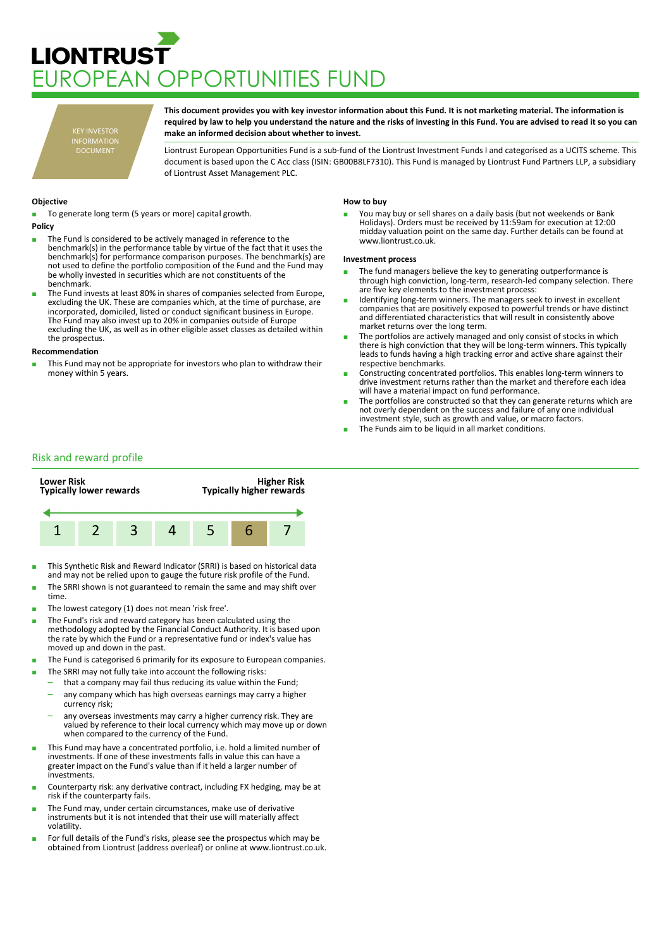# **LIONTRUST IROPEAN OPPORTUNITIES FUND**

KEY INVESTOR INFORMATION DOCUMENT

**This document provides you with key investor information about this Fund. It is not marketing material. The information is required by law to help you understand the nature and the risks of investing in this Fund. You are advised to read it so you can make an informed decision about whether to invest.**

Liontrust European Opportunities Fund is a sub-fund of the Liontrust Investment Funds I and categorised as a UCITS scheme. This document is based upon the C Acc class (ISIN: GB00B8LF7310). This Fund is managed by Liontrust Fund Partners LLP, a subsidiary of Liontrust Asset Management PLC.

## **Objective**

To generate long term (5 years or more) capital growth.

- **Policy** The Fund is considered to be actively managed in reference to the benchmark(s) in the performance table by virtue of the fact that it uses the benchmark(s) for performance comparison purposes. The benchmark(s) are not used to define the portfolio composition of the Fund and the Fund may be wholly invested in securities which are not constituents of the
	- benchmark. The Fund invests at least 80% in shares of companies selected from Europe, excluding the UK. These are companies which, at the time of purchase, are incorporated, domiciled, listed or conduct significant business in Europe. The Fund may also invest up to 20% in companies outside of Europe excluding the UK, as well as in other eligible asset classes as detailed within the prospectus.

## **Recommendation**

This Fund may not be appropriate for investors who plan to withdraw their money within 5 years.

### **How to buy**

You may buy or sell shares on a daily basis (but not weekends or Bank Holidays). Orders must be received by 11:59am for execution at 12:00 midday valuation point on the same day. Further details can be found at www.liontrust.co.uk.

#### **Investment process**

- The fund managers believe the key to generating outperformance is through high conviction, long-term, research-led company selection. There are five key elements to the investment process:
- Identifying long-term winners. The managers seek to invest in excellent companies that are positively exposed to powerful trends or have distinct and differentiated characteristics that will result in consistently above market returns over the long term.
- The portfolios are actively managed and only consist of stocks in which there is high conviction that they will be long-term winners. This typically leads to funds having a high tracking error and active share against their respective benchmarks.
- Constructing concentrated portfolios. This enables long-term winners to drive investment returns rather than the market and therefore each idea will have a material impact on fund performance.
- The portfolios are constructed so that they can generate returns which are not overly dependent on the success and failure of any one individual investment style, such as growth and value, or macro factors.
- The Funds aim to be liquid in all market conditions.

## Risk and reward profile



- This Synthetic Risk and Reward Indicator (SRRI) is based on historical data and may not be relied upon to gauge the future risk profile of the Fund.
- The SRRI shown is not guaranteed to remain the same and may shift over time.
- The lowest category (1) does not mean 'risk free'.
- The Fund's risk and reward category has been calculated using the methodology adopted by the Financial Conduct Authority. It is based upon the rate by which the Fund or a representative fund or index's value has moved up and down in the past.
- The Fund is categorised 6 primarily for its exposure to European companies.
- The SRRI may not fully take into account the following risks:
	- that a company may fail thus reducing its value within the Fund; – any company which has high overseas earnings may carry a higher
	- currency risk; – any overseas investments may carry a higher currency risk. They are valued by reference to their local currency which may move up or down
- when compared to the currency of the Fund. ■ This Fund may have a concentrated portfolio, i.e. hold a limited number of investments. If one of these investments falls in value this can have a greater impact on the Fund's value than if it held a larger number of
- investments. Counterparty risk: any derivative contract, including FX hedging, may be at risk if the counterparty fails.
- The Fund may, under certain circumstances, make use of derivative instruments but it is not intended that their use will materially affect volatility.
- For full details of the Fund's risks, please see the prospectus which may be obtained from Liontrust (address overleaf) or online at www.liontrust.co.uk.